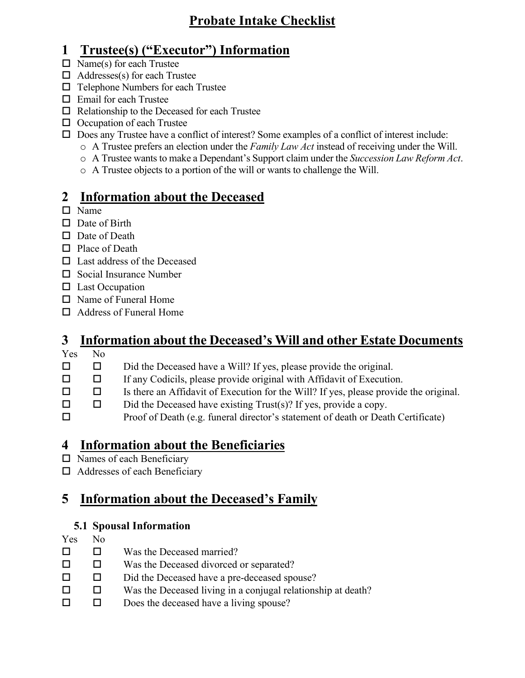## **Probate Intake Checklist**

## **1 Trustee(s) ("Executor") Information**

- $\Box$  Name(s) for each Trustee
- $\Box$  Addresses(s) for each Trustee
- $\Box$  Telephone Numbers for each Trustee
- Email for each Trustee
- $\Box$  Relationship to the Deceased for each Trustee
- $\Box$  Occupation of each Trustee
- $\square$  Does any Trustee have a conflict of interest? Some examples of a conflict of interest include:
	- o A Trustee prefers an election under the *Family Law Act* instead of receiving under the Will.
	- o A Trustee wants to make a Dependant's Support claim under the *Succession Law Reform Act*.
	- o A Trustee objects to a portion of the will or wants to challenge the Will.

# **2 Information about the Deceased**

- □ Name
- $\Box$  Date of Birth
- $\Box$  Date of Death
- $\Box$  Place of Death
- □ Last address of the Deceased
- $\square$  Social Insurance Number
- $\Box$  Last Occupation
- □ Name of Funeral Home
- □ Address of Funeral Home

# **3 Information about the Deceased's Will and other Estate Documents**

- Yes No
- $\square$   $\square$  Did the Deceased have a Will? If yes, please provide the original.
- $\Box$  If any Codicils, please provide original with Affidavit of Execution.
- $\Box$  Is there an Affidavit of Execution for the Will? If yes, please provide the original.
- $\square$   $\square$  Did the Deceased have existing Trust(s)? If yes, provide a copy.
- Proof of Death (e.g. funeral director's statement of death or Death Certificate)

# **4 Information about the Beneficiaries**

- $\square$  Names of each Beneficiary
- □ Addresses of each Beneficiary

# **5 Information about the Deceased's Family**

## **5.1 Spousal Information**

- Yes No
- $\square$   $\square$  Was the Deceased married?
- □ □ Was the Deceased divorced or separated?
- Did the Deceased have a pre-deceased spouse?
- $\square$  Was the Deceased living in a conjugal relationship at death?
- $\square$   $\square$  Does the deceased have a living spouse?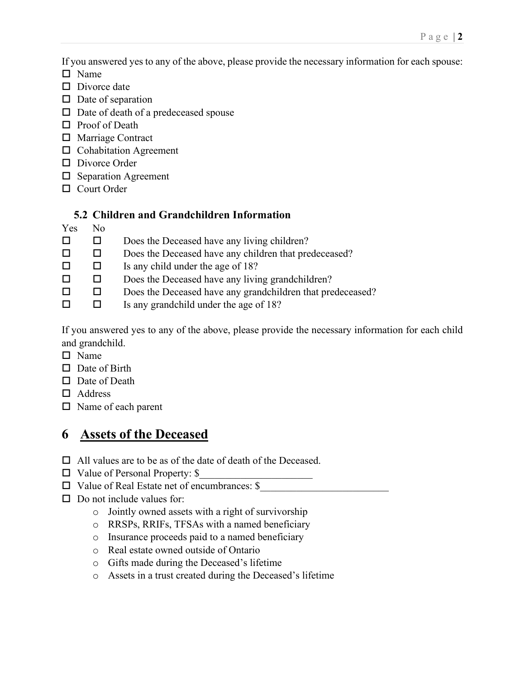If you answered yes to any of the above, please provide the necessary information for each spouse:

- □ Name
- $\square$  Divorce date
- $\square$  Date of separation
- $\square$  Date of death of a predeceased spouse
- □ Proof of Death
- □ Marriage Contract
- □ Cohabitation Agreement
- D Divorce Order
- Separation Agreement
- □ Court Order

#### **5.2 Children and Grandchildren Information**

Yes No

| $\Box$ $\Box$ | Does the Deceased have any living children? |
|---------------|---------------------------------------------|
|               |                                             |

- □ □ Does the Deceased have any children that predeceased?
- $\Box$  Is any child under the age of 18?
- $\square$   $\square$  Does the Deceased have any living grandchildren?
- □ □ Does the Deceased have any grandchildren that predeceased?
- $\Box$  Is any grandchild under the age of 18?

If you answered yes to any of the above, please provide the necessary information for each child and grandchild.

- □ Name
- $\Box$  Date of Birth
- $\square$  Date of Death
- □ Address
- □ Name of each parent

## **6 Assets of the Deceased**

- $\Box$  All values are to be as of the date of death of the Deceased.
- $\Box$  Value of Personal Property: \$
- $\Box$  Value of Real Estate net of encumbrances: \$
- $\square$  Do not include values for:
	- o Jointly owned assets with a right of survivorship
	- o RRSPs, RRIFs, TFSAs with a named beneficiary
	- o Insurance proceeds paid to a named beneficiary
	- o Real estate owned outside of Ontario
	- o Gifts made during the Deceased's lifetime
	- o Assets in a trust created during the Deceased's lifetime